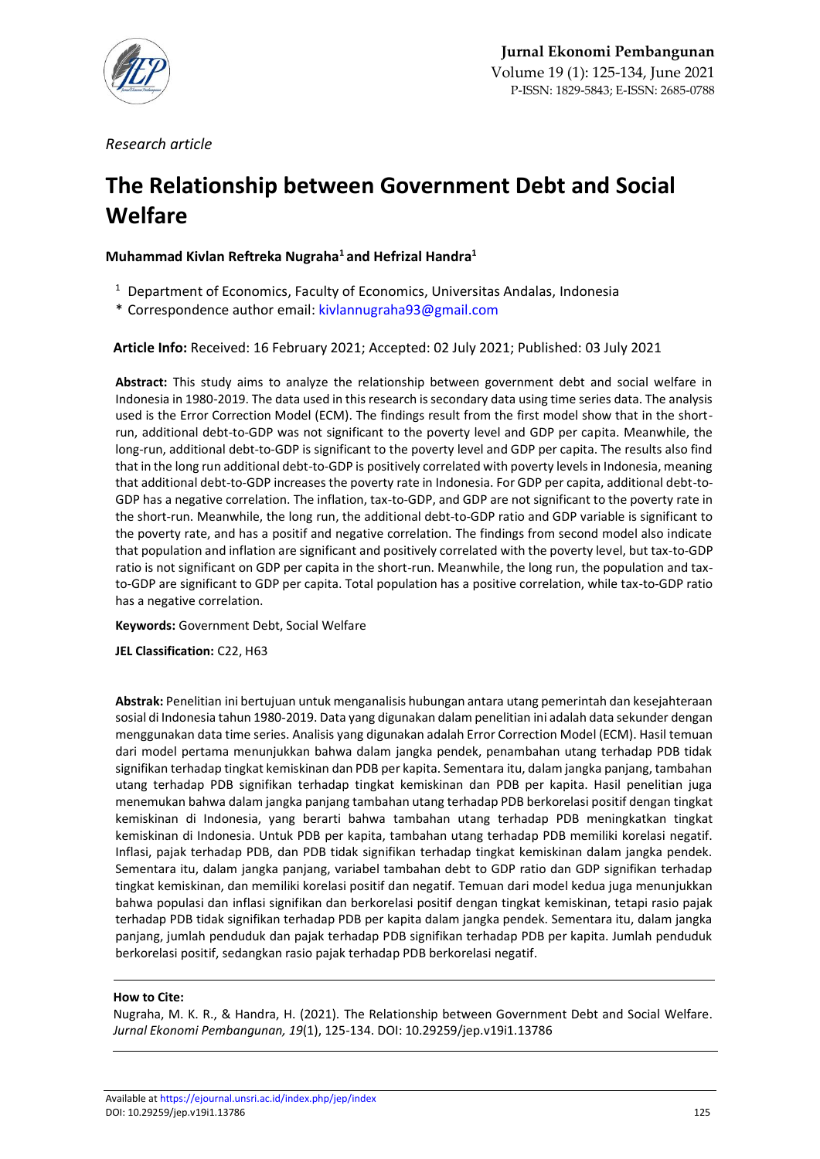

*Research article*

# **The Relationship between Government Debt and Social Welfare**

**Muhammad Kivlan Reftreka Nugraha<sup>1</sup> and Hefrizal Handra<sup>1</sup>**

- $1$  Department of Economics, Faculty of Economics, Universitas Andalas, Indonesia
- \* Correspondence author email[: kivlannugraha93@gmail.com](mailto:kivlannugraha93@gmail.com)

**Article Info:** Received: 16 February 2021; Accepted: 02 July 2021; Published: 03 July 2021

**Abstract:** This study aims to analyze the relationship between government debt and social welfare in Indonesia in 1980-2019. The data used in this research is secondary data using time series data. The analysis used is the Error Correction Model (ECM). The findings result from the first model show that in the shortrun, additional debt-to-GDP was not significant to the poverty level and GDP per capita. Meanwhile, the long-run, additional debt-to-GDP is significant to the poverty level and GDP per capita. The results also find that in the long run additional debt-to-GDP is positively correlated with poverty levels in Indonesia, meaning that additional debt-to-GDP increases the poverty rate in Indonesia. For GDP per capita, additional debt-to-GDP has a negative correlation. The inflation, tax-to-GDP, and GDP are not significant to the poverty rate in the short-run. Meanwhile, the long run, the additional debt-to-GDP ratio and GDP variable is significant to the poverty rate, and has a positif and negative correlation. The findings from second model also indicate that population and inflation are significant and positively correlated with the poverty level, but tax-to-GDP ratio is not significant on GDP per capita in the short-run. Meanwhile, the long run, the population and taxto-GDP are significant to GDP per capita. Total population has a positive correlation, while tax-to-GDP ratio has a negative correlation.

**Keywords:** Government Debt, Social Welfare

**JEL Classification:** C22, H63

**Abstrak:** Penelitian ini bertujuan untuk menganalisis hubungan antara utang pemerintah dan kesejahteraan sosial di Indonesia tahun 1980-2019. Data yang digunakan dalam penelitian ini adalah data sekunder dengan menggunakan data time series. Analisis yang digunakan adalah Error Correction Model (ECM). Hasil temuan dari model pertama menunjukkan bahwa dalam jangka pendek, penambahan utang terhadap PDB tidak signifikan terhadap tingkat kemiskinan dan PDB per kapita. Sementara itu, dalam jangka panjang, tambahan utang terhadap PDB signifikan terhadap tingkat kemiskinan dan PDB per kapita. Hasil penelitian juga menemukan bahwa dalam jangka panjang tambahan utang terhadap PDB berkorelasi positif dengan tingkat kemiskinan di Indonesia, yang berarti bahwa tambahan utang terhadap PDB meningkatkan tingkat kemiskinan di Indonesia. Untuk PDB per kapita, tambahan utang terhadap PDB memiliki korelasi negatif. Inflasi, pajak terhadap PDB, dan PDB tidak signifikan terhadap tingkat kemiskinan dalam jangka pendek. Sementara itu, dalam jangka panjang, variabel tambahan debt to GDP ratio dan GDP signifikan terhadap tingkat kemiskinan, dan memiliki korelasi positif dan negatif. Temuan dari model kedua juga menunjukkan bahwa populasi dan inflasi signifikan dan berkorelasi positif dengan tingkat kemiskinan, tetapi rasio pajak terhadap PDB tidak signifikan terhadap PDB per kapita dalam jangka pendek. Sementara itu, dalam jangka panjang, jumlah penduduk dan pajak terhadap PDB signifikan terhadap PDB per kapita. Jumlah penduduk berkorelasi positif, sedangkan rasio pajak terhadap PDB berkorelasi negatif.

## **How to Cite:**

Nugraha, M. K. R., & Handra, H. (2021). The Relationship between Government Debt and Social Welfare. *Jurnal Ekonomi Pembangunan, 19*(1), 125-134. DOI: 10.29259/jep.v19i1.13786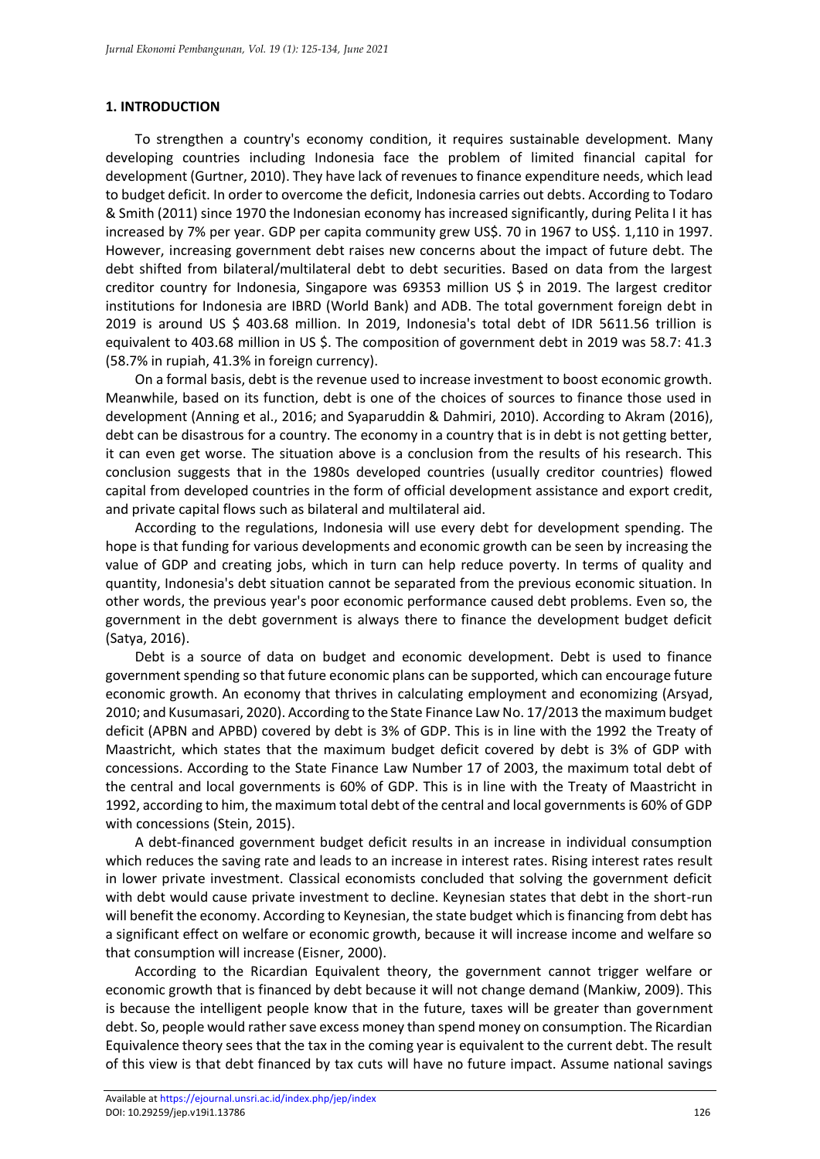#### **1. INTRODUCTION**

To strengthen a country's economy condition, it requires sustainable development. Many developing countries including Indonesia face the problem of limited financial capital for development (Gurtner, 2010). They have lack of revenues to finance expenditure needs, which lead to budget deficit. In order to overcome the deficit, Indonesia carries out debts. According to Todaro & Smith (2011) since 1970 the Indonesian economy has increased significantly, during Pelita I it has increased by 7% per year. GDP per capita community grew US\$. 70 in 1967 to US\$. 1,110 in 1997. However, increasing government debt raises new concerns about the impact of future debt. The debt shifted from bilateral/multilateral debt to debt securities. Based on data from the largest creditor country for Indonesia, Singapore was 69353 million US \$ in 2019. The largest creditor institutions for Indonesia are IBRD (World Bank) and ADB. The total government foreign debt in 2019 is around US \$ 403.68 million. In 2019, Indonesia's total debt of IDR 5611.56 trillion is equivalent to 403.68 million in US \$. The composition of government debt in 2019 was 58.7: 41.3 (58.7% in rupiah, 41.3% in foreign currency).

On a formal basis, debt is the revenue used to increase investment to boost economic growth. Meanwhile, based on its function, debt is one of the choices of sources to finance those used in development (Anning et al., 2016; and Syaparuddin & Dahmiri, 2010). According to Akram (2016), debt can be disastrous for a country. The economy in a country that is in debt is not getting better, it can even get worse. The situation above is a conclusion from the results of his research. This conclusion suggests that in the 1980s developed countries (usually creditor countries) flowed capital from developed countries in the form of official development assistance and export credit, and private capital flows such as bilateral and multilateral aid.

According to the regulations, Indonesia will use every debt for development spending. The hope is that funding for various developments and economic growth can be seen by increasing the value of GDP and creating jobs, which in turn can help reduce poverty. In terms of quality and quantity, Indonesia's debt situation cannot be separated from the previous economic situation. In other words, the previous year's poor economic performance caused debt problems. Even so, the government in the debt government is always there to finance the development budget deficit (Satya, 2016).

Debt is a source of data on budget and economic development. Debt is used to finance government spending so that future economic plans can be supported, which can encourage future economic growth. An economy that thrives in calculating employment and economizing (Arsyad, 2010; and Kusumasari, 2020). According to the State Finance Law No. 17/2013 the maximum budget deficit (APBN and APBD) covered by debt is 3% of GDP. This is in line with the 1992 the Treaty of Maastricht, which states that the maximum budget deficit covered by debt is 3% of GDP with concessions. According to the State Finance Law Number 17 of 2003, the maximum total debt of the central and local governments is 60% of GDP. This is in line with the Treaty of Maastricht in 1992, according to him, the maximum total debt of the central and local governments is 60% of GDP with concessions (Stein, 2015).

A debt-financed government budget deficit results in an increase in individual consumption which reduces the saving rate and leads to an increase in interest rates. Rising interest rates result in lower private investment. Classical economists concluded that solving the government deficit with debt would cause private investment to decline. Keynesian states that debt in the short-run will benefit the economy. According to Keynesian, the state budget which is financing from debt has a significant effect on welfare or economic growth, because it will increase income and welfare so that consumption will increase (Eisner, 2000).

According to the Ricardian Equivalent theory, the government cannot trigger welfare or economic growth that is financed by debt because it will not change demand (Mankiw, 2009). This is because the intelligent people know that in the future, taxes will be greater than government debt. So, people would rather save excess money than spend money on consumption. The Ricardian Equivalence theory sees that the tax in the coming year is equivalent to the current debt. The result of this view is that debt financed by tax cuts will have no future impact. Assume national savings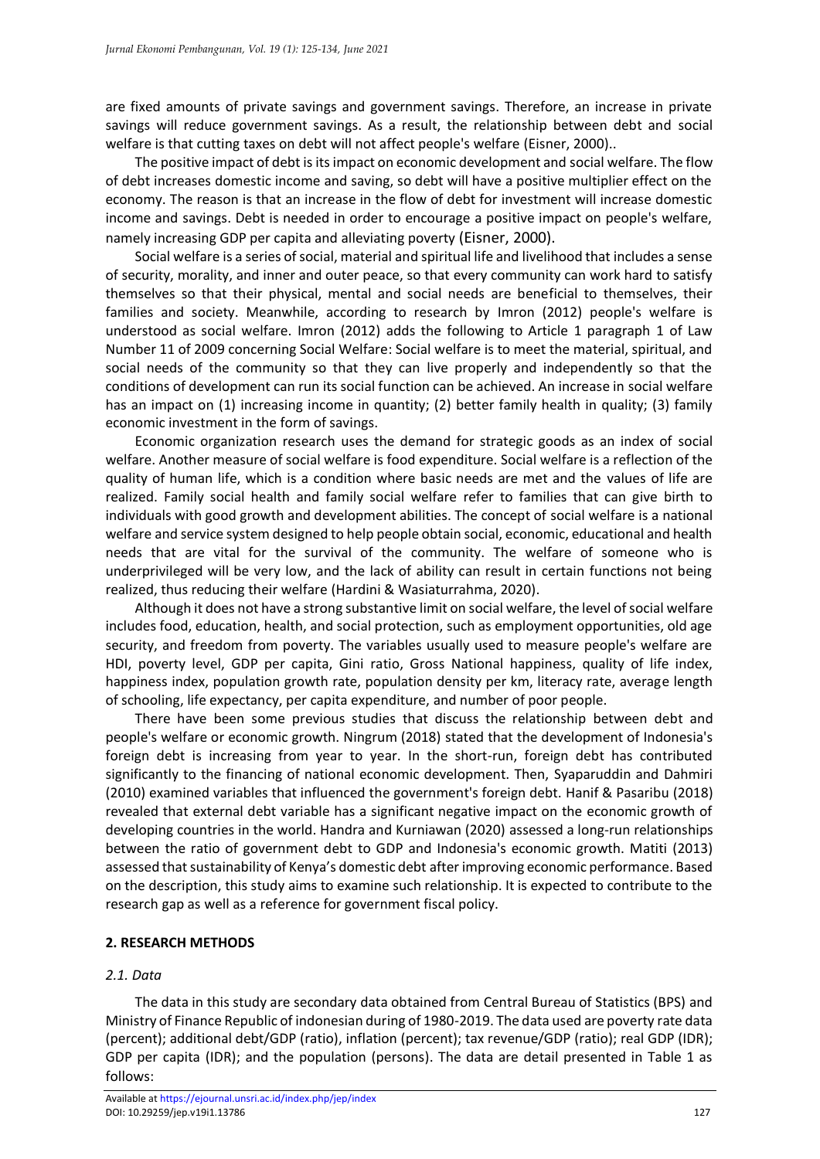are fixed amounts of private savings and government savings. Therefore, an increase in private savings will reduce government savings. As a result, the relationship between debt and social welfare is that cutting taxes on debt will not affect people's welfare (Eisner, 2000)..

The positive impact of debt is its impact on economic development and social welfare. The flow of debt increases domestic income and saving, so debt will have a positive multiplier effect on the economy. The reason is that an increase in the flow of debt for investment will increase domestic income and savings. Debt is needed in order to encourage a positive impact on people's welfare, namely increasing GDP per capita and alleviating poverty (Eisner, 2000).

Social welfare is a series of social, material and spiritual life and livelihood that includes a sense of security, morality, and inner and outer peace, so that every community can work hard to satisfy themselves so that their physical, mental and social needs are beneficial to themselves, their families and society. Meanwhile, according to research by Imron (2012) people's welfare is understood as social welfare. Imron (2012) adds the following to Article 1 paragraph 1 of Law Number 11 of 2009 concerning Social Welfare: Social welfare is to meet the material, spiritual, and social needs of the community so that they can live properly and independently so that the conditions of development can run its social function can be achieved. An increase in social welfare has an impact on (1) increasing income in quantity; (2) better family health in quality; (3) family economic investment in the form of savings.

Economic organization research uses the demand for strategic goods as an index of social welfare. Another measure of social welfare is food expenditure. Social welfare is a reflection of the quality of human life, which is a condition where basic needs are met and the values of life are realized. Family social health and family social welfare refer to families that can give birth to individuals with good growth and development abilities. The concept of social welfare is a national welfare and service system designed to help people obtain social, economic, educational and health needs that are vital for the survival of the community. The welfare of someone who is underprivileged will be very low, and the lack of ability can result in certain functions not being realized, thus reducing their welfare (Hardini & Wasiaturrahma, 2020).

Although it does not have a strong substantive limit on social welfare, the level of social welfare includes food, education, health, and social protection, such as employment opportunities, old age security, and freedom from poverty. The variables usually used to measure people's welfare are HDI, poverty level, GDP per capita, Gini ratio, Gross National happiness, quality of life index, happiness index, population growth rate, population density per km, literacy rate, average length of schooling, life expectancy, per capita expenditure, and number of poor people.

There have been some previous studies that discuss the relationship between debt and people's welfare or economic growth. Ningrum (2018) stated that the development of Indonesia's foreign debt is increasing from year to year. In the short-run, foreign debt has contributed significantly to the financing of national economic development. Then, Syaparuddin and Dahmiri (2010) examined variables that influenced the government's foreign debt. Hanif & Pasaribu (2018) revealed that external debt variable has a significant negative impact on the economic growth of developing countries in the world. Handra and Kurniawan (2020) assessed a long-run relationships between the ratio of government debt to GDP and Indonesia's economic growth. Matiti (2013) assessed that sustainability of Kenya's domestic debt after improving economic performance. Based on the description, this study aims to examine such relationship. It is expected to contribute to the research gap as well as a reference for government fiscal policy.

## **2. RESEARCH METHODS**

## *2.1. Data*

The data in this study are secondary data obtained from Central Bureau of Statistics (BPS) and Ministry of Finance Republic of indonesian during of 1980-2019. The data used are poverty rate data (percent); additional debt/GDP (ratio), inflation (percent); tax revenue/GDP (ratio); real GDP (IDR); GDP per capita (IDR); and the population (persons). The data are detail presented in Table 1 as follows: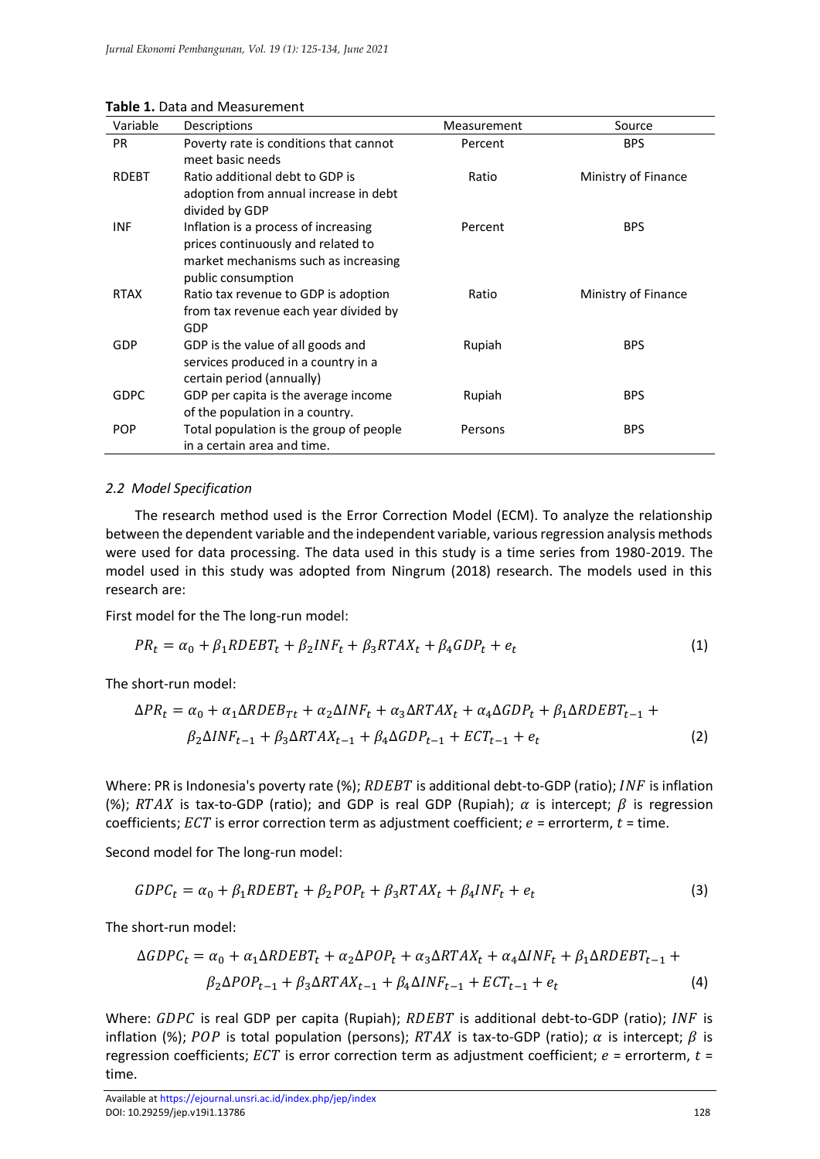| Variable     | Descriptions                                                                                                                             | Measurement | Source              |
|--------------|------------------------------------------------------------------------------------------------------------------------------------------|-------------|---------------------|
| <b>PR</b>    | Poverty rate is conditions that cannot<br>meet basic needs                                                                               | Percent     | <b>BPS</b>          |
| <b>RDEBT</b> | Ratio additional debt to GDP is<br>adoption from annual increase in debt<br>divided by GDP                                               | Ratio       | Ministry of Finance |
| <b>INF</b>   | Inflation is a process of increasing<br>prices continuously and related to<br>market mechanisms such as increasing<br>public consumption | Percent     | <b>BPS</b>          |
| <b>RTAX</b>  | Ratio tax revenue to GDP is adoption<br>from tax revenue each year divided by<br>GDP                                                     | Ratio       | Ministry of Finance |
| GDP          | GDP is the value of all goods and<br>services produced in a country in a<br>certain period (annually)                                    | Rupiah      | <b>BPS</b>          |
| <b>GDPC</b>  | GDP per capita is the average income<br>of the population in a country.                                                                  | Rupiah      | <b>BPS</b>          |
| <b>POP</b>   | Total population is the group of people<br>in a certain area and time.                                                                   | Persons     | <b>BPS</b>          |

#### **Table 1.** Data and Measurement

#### *2.2 Model Specification*

The research method used is the Error Correction Model (ECM). To analyze the relationship between the dependent variable and the independent variable, various regression analysis methods were used for data processing. The data used in this study is a time series from 1980-2019. The model used in this study was adopted from Ningrum (2018) research. The models used in this research are:

First model for the The long-run model:

$$
PR_t = \alpha_0 + \beta_1 RDEBT_t + \beta_2 INF_t + \beta_3 RTAX_t + \beta_4 GDP_t + e_t
$$
\n(1)

The short-run model:

$$
\Delta PR_t = \alpha_0 + \alpha_1 \Delta RDEB_{Tt} + \alpha_2 \Delta INF_t + \alpha_3 \Delta RTAX_t + \alpha_4 \Delta GDP_t + \beta_1 \Delta RDEBT_{t-1} + \beta_2 \Delta INF_{t-1} + \beta_3 \Delta RTAX_{t-1} + \beta_4 \Delta GDP_{t-1} + ECT_{t-1} + e_t
$$
\n(2)

Where: PR is Indonesia's poverty rate (%);  $RDEBT$  is additional debt-to-GDP (ratio); INF is inflation (%); RTAX is tax-to-GDP (ratio); and GDP is real GDP (Rupiah);  $\alpha$  is intercept;  $\beta$  is regression coefficients;  $ECT$  is error correction term as adjustment coefficient;  $e =$  errorterm,  $t =$  time.

Second model for The long-run model:

$$
GDPC_t = \alpha_0 + \beta_1 RDEBT_t + \beta_2 POP_t + \beta_3 RTAX_t + \beta_4 INF_t + e_t
$$
\n(3)

The short-run model:

$$
\Delta GDPC_t = \alpha_0 + \alpha_1 \Delta RDEBT_t + \alpha_2 \Delta POP_t + \alpha_3 \Delta RTAX_t + \alpha_4 \Delta INF_t + \beta_1 \Delta RDEBT_{t-1} + \beta_2 \Delta POP_{t-1} + \beta_3 \Delta RTAX_{t-1} + \beta_4 \Delta INF_{t-1} + ECT_{t-1} + e_t
$$
\n
$$
(4)
$$

Where:  $GDPC$  is real GDP per capita (Rupiah);  $RDEBT$  is additional debt-to-GDP (ratio); INF is inflation (%); POP is total population (persons); RTAX is tax-to-GDP (ratio);  $\alpha$  is intercept;  $\beta$  is regression coefficients;  $ECT$  is error correction term as adjustment coefficient;  $e =$  errorterm,  $t =$ time.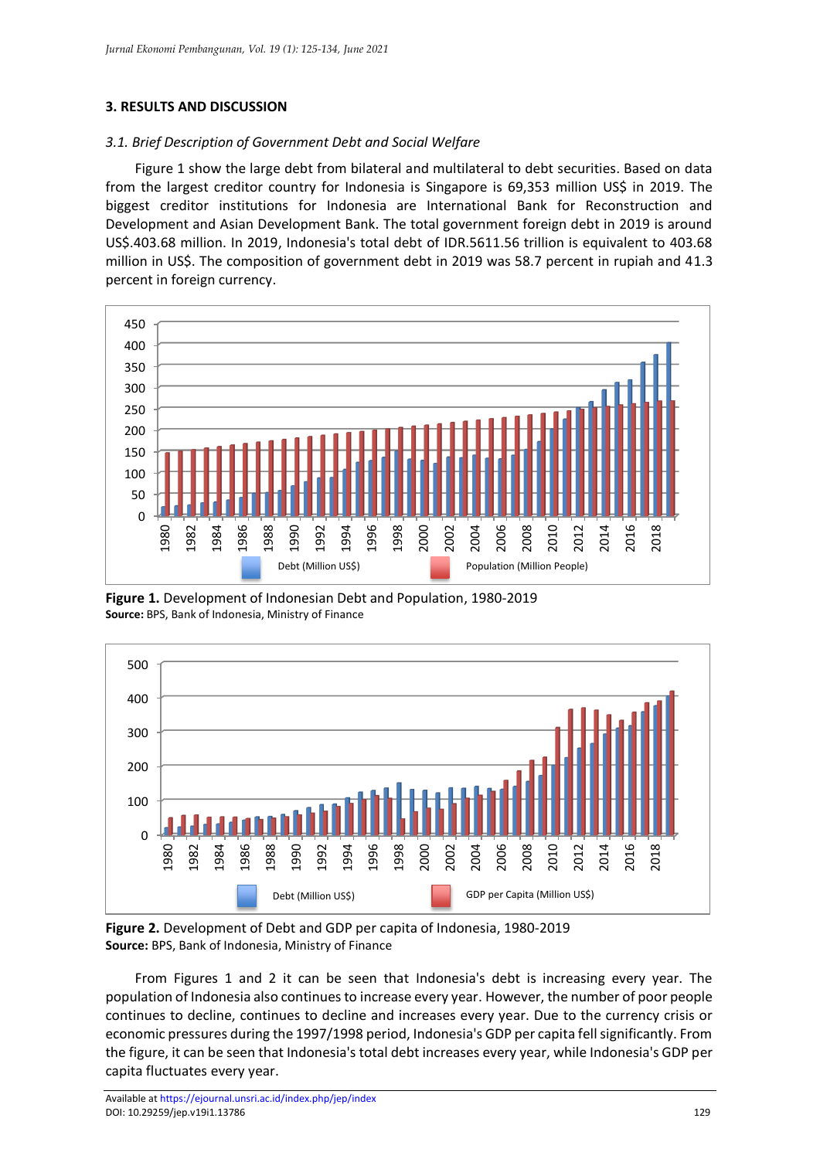#### **3. RESULTS AND DISCUSSION**

#### *3.1. Brief Description of Government Debt and Social Welfare*

Figure 1 show the large debt from bilateral and multilateral to debt securities. Based on data from the largest creditor country for Indonesia is Singapore is 69,353 million US\$ in 2019. The biggest creditor institutions for Indonesia are International Bank for Reconstruction and Development and Asian Development Bank. The total government foreign debt in 2019 is around US\$.403.68 million. In 2019, Indonesia's total debt of IDR.5611.56 trillion is equivalent to 403.68 million in US\$. The composition of government debt in 2019 was 58.7 percent in rupiah and 41.3 percent in foreign currency.



**Figure 1.** Development of Indonesian Debt and Population, 1980-2019 **Source:** BPS, Bank of Indonesia, Ministry of Finance



**Figure 2.** Development of Debt and GDP per capita of Indonesia, 1980-2019 **Source:** BPS, Bank of Indonesia, Ministry of Finance

From Figures 1 and 2 it can be seen that Indonesia's debt is increasing every year. The population of Indonesia also continues to increase every year. However, the number of poor people continues to decline, continues to decline and increases every year. Due to the currency crisis or economic pressures during the 1997/1998 period, Indonesia's GDP per capita fell significantly. From the figure, it can be seen that Indonesia's total debt increases every year, while Indonesia's GDP per capita fluctuates every year.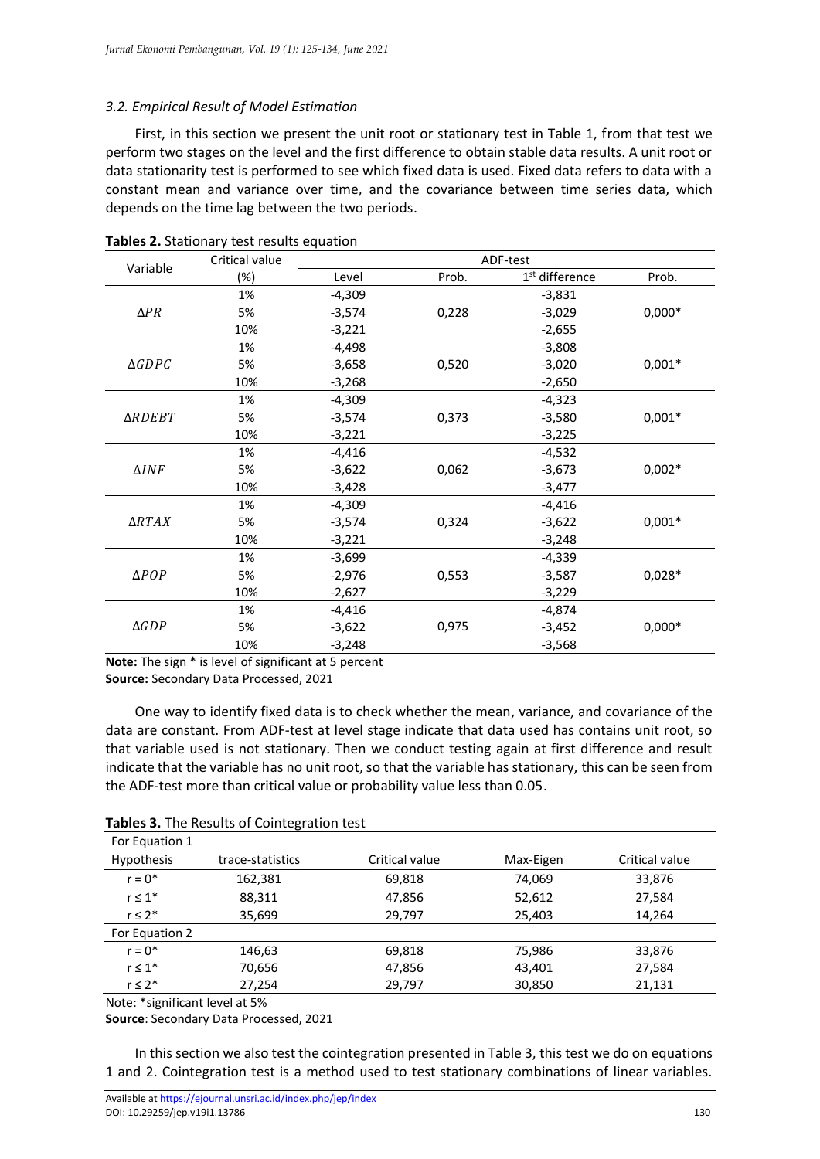# *3.2. Empirical Result of Model Estimation*

First, in this section we present the unit root or stationary test in Table 1, from that test we perform two stages on the level and the first difference to obtain stable data results. A unit root or data stationarity test is performed to see which fixed data is used. Fixed data refers to data with a constant mean and variance over time, and the covariance between time series data, which depends on the time lag between the two periods.

|                  | Critical value | ADF-test |       |                            |          |  |
|------------------|----------------|----------|-------|----------------------------|----------|--|
| Variable         | $(\%)$         | Level    | Prob. | 1 <sup>st</sup> difference | Prob.    |  |
|                  | 1%             | $-4,309$ |       | $-3,831$                   |          |  |
| $\Delta PR$      | 5%             | $-3,574$ | 0,228 | $-3,029$                   | $0,000*$ |  |
|                  | 10%            | $-3,221$ |       | $-2,655$                   |          |  |
|                  | 1%             | $-4,498$ |       | $-3,808$                   |          |  |
| $\triangle GDPC$ | 5%             | $-3,658$ | 0,520 | $-3,020$                   | $0,001*$ |  |
|                  | 10%            | $-3,268$ |       | $-2,650$                   |          |  |
|                  | 1%             | $-4,309$ |       | $-4,323$                   |          |  |
| ∆RDEBT           | 5%             | $-3,574$ | 0,373 | $-3,580$                   | $0,001*$ |  |
|                  | 10%            | $-3,221$ |       | $-3,225$                   |          |  |
|                  | 1%             | $-4,416$ |       | $-4,532$                   |          |  |
| $\Delta INF$     | 5%             | $-3,622$ | 0,062 | $-3,673$                   | $0,002*$ |  |
|                  | 10%            | $-3,428$ |       | $-3,477$                   |          |  |
|                  | 1%             | $-4,309$ |       | $-4,416$                   |          |  |
| $\triangle RTAX$ | 5%             | $-3,574$ | 0,324 | $-3,622$                   | $0,001*$ |  |
|                  | 10%            | $-3,221$ |       | $-3,248$                   |          |  |
|                  | 1%             | $-3,699$ |       | $-4,339$                   |          |  |
| $\triangle POP$  | 5%             | $-2,976$ | 0,553 | $-3,587$                   | $0,028*$ |  |
|                  | 10%            | $-2,627$ |       | $-3,229$                   |          |  |
|                  | 1%             | $-4,416$ |       | $-4,874$                   |          |  |
| $\triangle GDP$  | 5%             | $-3,622$ | 0,975 | $-3,452$                   | $0,000*$ |  |
|                  | 10%            | $-3,248$ |       | $-3,568$                   |          |  |

**Tables 2.** Stationary test results equation

**Note:** The sign \* is level of significant at 5 percent

**Source:** Secondary Data Processed, 2021

One way to identify fixed data is to check whether the mean, variance, and covariance of the data are constant. From ADF-test at level stage indicate that data used has contains unit root, so that variable used is not stationary. Then we conduct testing again at first difference and result indicate that the variable has no unit root, so that the variable has stationary, this can be seen from the ADF-test more than critical value or probability value less than 0.05.

| For Equation 1 |                  |                |           |                |
|----------------|------------------|----------------|-----------|----------------|
| Hypothesis     | trace-statistics | Critical value | Max-Eigen | Critical value |
| $r = 0^*$      | 162,381          | 69,818         | 74,069    | 33,876         |
| $r \leq 1^*$   | 88,311           | 47,856         | 52,612    | 27,584         |
| $r \leq 2^*$   | 35,699           | 29,797         | 25,403    | 14,264         |
| For Equation 2 |                  |                |           |                |
| $r = 0^*$      | 146,63           | 69,818         | 75,986    | 33,876         |
| $r \leq 1^*$   | 70,656           | 47,856         | 43,401    | 27,584         |
| $r \leq 2^*$   | 27,254           | 29,797         | 30,850    | 21,131         |

**Tables 3.** The Results of Cointegration test

Note: \*significant level at 5%

**Source**: Secondary Data Processed, 2021

In this section we also test the cointegration presented in Table 3, this test we do on equations 1 and 2. Cointegration test is a method used to test stationary combinations of linear variables.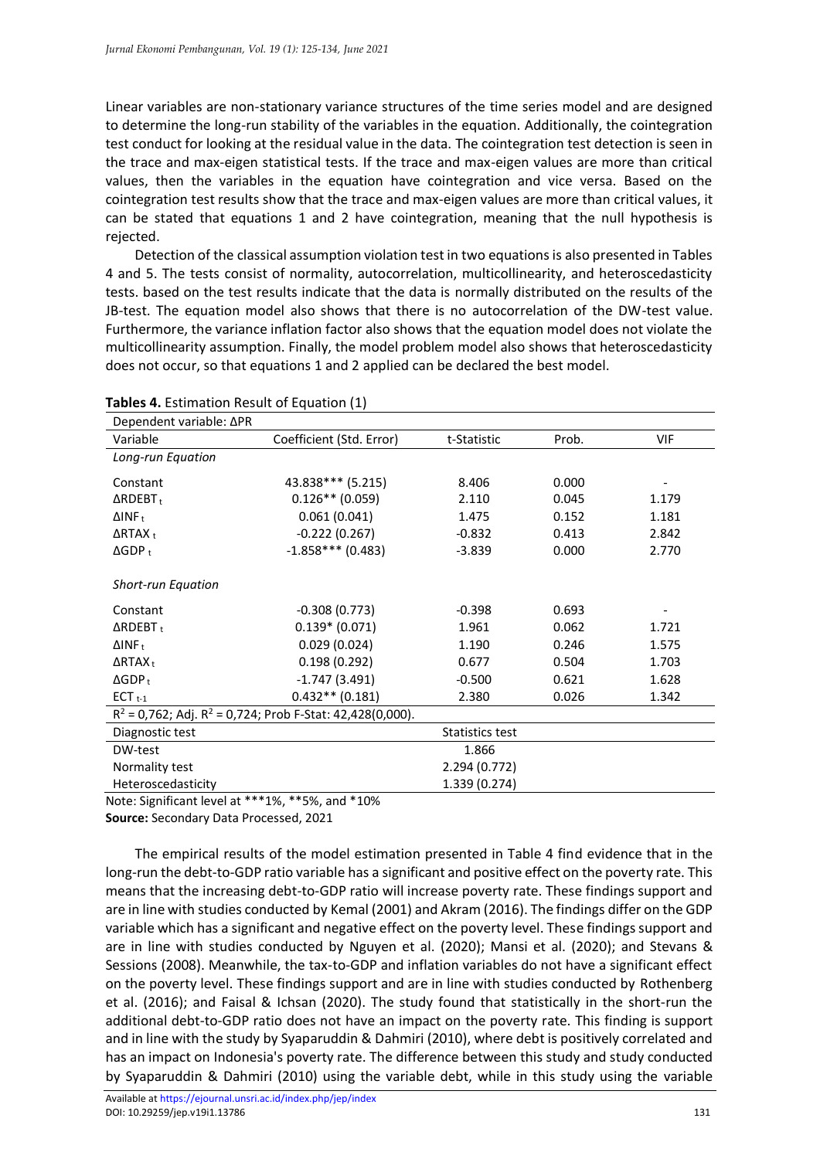Linear variables are non-stationary variance structures of the time series model and are designed to determine the long-run stability of the variables in the equation. Additionally, the cointegration test conduct for looking at the residual value in the data. The cointegration test detection is seen in the trace and max-eigen statistical tests. If the trace and max-eigen values are more than critical values, then the variables in the equation have cointegration and vice versa. Based on the cointegration test results show that the trace and max-eigen values are more than critical values, it can be stated that equations 1 and 2 have cointegration, meaning that the null hypothesis is rejected.

Detection of the classical assumption violation test in two equations is also presented in Tables 4 and 5. The tests consist of normality, autocorrelation, multicollinearity, and heteroscedasticity tests. based on the test results indicate that the data is normally distributed on the results of the JB-test. The equation model also shows that there is no autocorrelation of the DW-test value. Furthermore, the variance inflation factor also shows that the equation model does not violate the multicollinearity assumption. Finally, the model problem model also shows that heteroscedasticity does not occur, so that equations 1 and 2 applied can be declared the best model.

| Dependent variable: ΔPR                                    |                                                                |             |       |                          |
|------------------------------------------------------------|----------------------------------------------------------------|-------------|-------|--------------------------|
| Variable                                                   | Coefficient (Std. Error)                                       | t-Statistic | Prob. | <b>VIF</b>               |
| Long-run Equation                                          |                                                                |             |       |                          |
| Constant                                                   | 43.838*** (5.215)                                              | 8.406       | 0.000 | $\overline{\phantom{a}}$ |
| $\triangle RDEBT_t$                                        | $0.126**$ (0.059)                                              | 2.110       | 0.045 | 1.179                    |
| $\Delta$ INF <sub>t</sub>                                  | 0.061(0.041)                                                   | 1.475       | 0.152 | 1.181                    |
| $\Delta$ RTAX <sub>t</sub>                                 | $-0.222(0.267)$                                                | $-0.832$    | 0.413 | 2.842                    |
| $\Delta GDP_t$                                             | $-1.858***(0.483)$                                             | $-3.839$    | 0.000 | 2.770                    |
| <b>Short-run Equation</b>                                  |                                                                |             |       |                          |
| Constant                                                   | $-0.308(0.773)$                                                | $-0.398$    | 0.693 | $\overline{\phantom{a}}$ |
| $\triangle$ RDEBT <sub>t</sub>                             | $0.139* (0.071)$                                               | 1.961       | 0.062 | 1.721                    |
| $\Delta$ INF <sub>t</sub>                                  | 0.029(0.024)                                                   | 1.190       | 0.246 | 1.575                    |
| $\Delta$ RTAX <sub>t</sub>                                 | 0.198(0.292)                                                   | 0.677       | 0.504 | 1.703                    |
| $\Delta GDP_t$                                             | $-1.747(3.491)$                                                | $-0.500$    | 0.621 | 1.628                    |
| $ECT_{t-1}$                                                | $0.432**$ (0.181)                                              | 2.380       | 0.026 | 1.342                    |
|                                                            | $R^2$ = 0,762; Adj. $R^2$ = 0,724; Prob F-Stat: 42,428(0,000). |             |       |                          |
| Diagnostic test                                            | Statistics test                                                |             |       |                          |
| DW-test                                                    |                                                                | 1.866       |       |                          |
| Normality test                                             | 2.294 (0.772)                                                  |             |       |                          |
| Heteroscedasticity                                         | 1.339 (0.274)                                                  |             |       |                          |
| Note: $Cianifion + low - 1 + *** + 0/$ *** $F0/$ and *100/ |                                                                |             |       |                          |

#### **Tables 4.** Estimation Result of Equation (1)

Note: Significant level at \*\*\*1%, \*\*5%, and \*10%

**Source:** Secondary Data Processed, 2021

The empirical results of the model estimation presented in Table 4 find evidence that in the long-run the debt-to-GDP ratio variable has a significant and positive effect on the poverty rate. This means that the increasing debt-to-GDP ratio will increase poverty rate. These findings support and are in line with studies conducted by Kemal (2001) and Akram (2016). The findings differ on the GDP variable which has a significant and negative effect on the poverty level. These findings support and are in line with studies conducted by Nguyen et al. (2020); Mansi et al. (2020); and Stevans & Sessions (2008). Meanwhile, the tax-to-GDP and inflation variables do not have a significant effect on the poverty level. These findings support and are in line with studies conducted by Rothenberg et al. (2016); and Faisal & Ichsan (2020). The study found that statistically in the short-run the additional debt-to-GDP ratio does not have an impact on the poverty rate. This finding is support and in line with the study by Syaparuddin & Dahmiri (2010), where debt is positively correlated and has an impact on Indonesia's poverty rate. The difference between this study and study conducted by Syaparuddin & Dahmiri (2010) using the variable debt, while in this study using the variable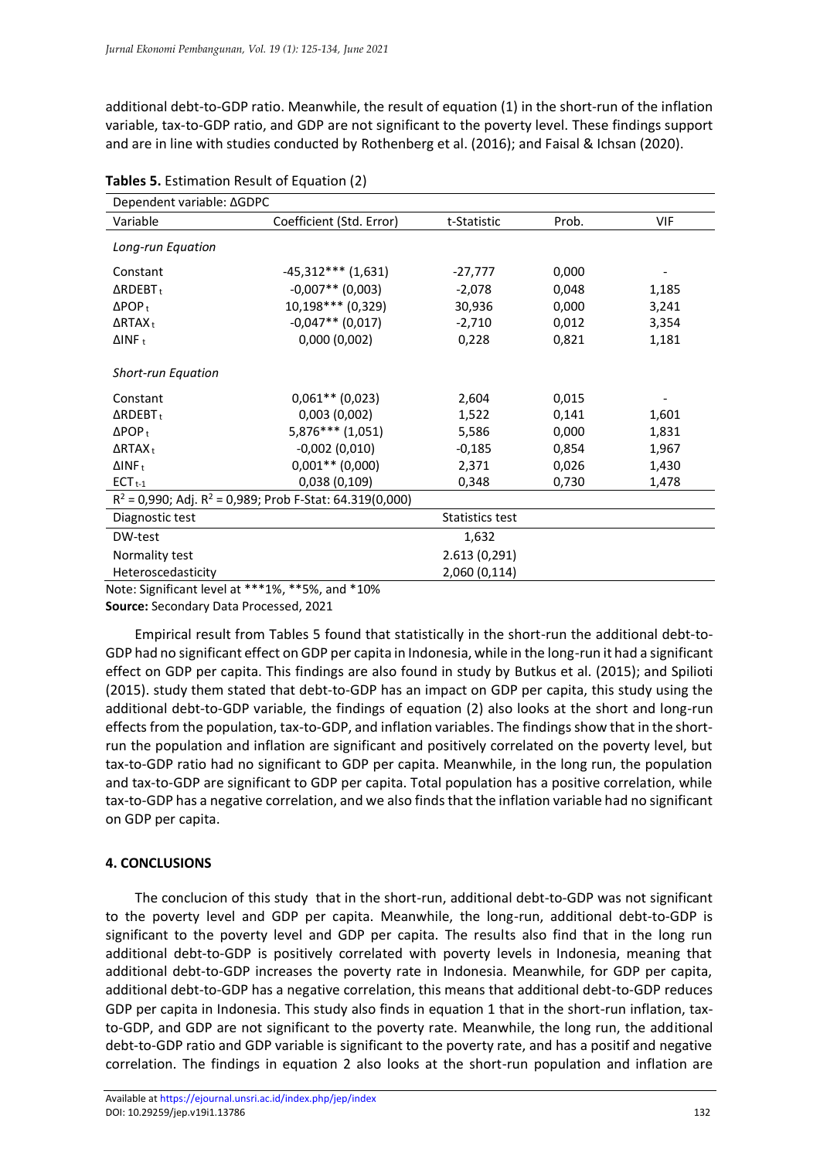additional debt-to-GDP ratio. Meanwhile, the result of equation (1) in the short-run of the inflation variable, tax-to-GDP ratio, and GDP are not significant to the poverty level. These findings support and are in line with studies conducted by Rothenberg et al. (2016); and Faisal & Ichsan (2020).

| Dependent variable: ∆GDPC           |                                                               |             |       |       |
|-------------------------------------|---------------------------------------------------------------|-------------|-------|-------|
| Variable                            | Coefficient (Std. Error)                                      | t-Statistic | Prob. | VIF   |
| Long-run Equation                   |                                                               |             |       |       |
| Constant                            | $-45,312***$ (1,631)                                          | -27,777     | 0,000 |       |
| $\triangle RDEBT_t$                 | $-0,007**$ (0,003)                                            | $-2,078$    | 0,048 | 1,185 |
| $\Delta$ POP <sub>t</sub>           | 10,198*** (0,329)                                             | 30,936      | 0,000 | 3,241 |
| $\Delta$ RTAX <sub>t</sub>          | $-0.047**$ (0.017)                                            | $-2,710$    | 0,012 | 3,354 |
| $\Delta$ INF <sub>t</sub>           | 0,000(0,002)                                                  | 0,228       | 0,821 | 1,181 |
| <b>Short-run Equation</b>           |                                                               |             |       |       |
| Constant                            | $0,061**$ (0,023)                                             | 2,604       | 0,015 |       |
| $\triangle RDEBT_t$                 | 0,003(0,002)                                                  | 1,522       | 0,141 | 1,601 |
| $\Delta$ POP <sub>t</sub>           | $5,876***$ (1,051)                                            | 5,586       | 0,000 | 1,831 |
| $\Delta$ RTAX <sub>t</sub>          | $-0,002(0,010)$                                               | $-0,185$    | 0,854 | 1,967 |
| $\Delta$ INF <sub>t</sub>           | $0,001**$ (0,000)                                             | 2,371       | 0,026 | 1,430 |
| $ECTt-1$                            | 0,038(0,109)                                                  | 0,348       | 0,730 | 1,478 |
|                                     | $R^2$ = 0,990; Adj. $R^2$ = 0,989; Prob F-Stat: 64.319(0,000) |             |       |       |
| Diagnostic test<br>Statistics test  |                                                               |             |       |       |
| DW-test                             | 1,632                                                         |             |       |       |
| Normality test                      | 2.613(0,291)                                                  |             |       |       |
| Heteroscedasticity<br>2,060 (0,114) |                                                               |             |       |       |

|  | Tables 5. Estimation Result of Equation (2) |  |  |  |
|--|---------------------------------------------|--|--|--|
|--|---------------------------------------------|--|--|--|

Note: Significant level at \*\*\*1%, \*\*5%, and \*10%

**Source:** Secondary Data Processed, 2021

Empirical result from Tables 5 found that statistically in the short-run the additional debt-to-GDP had no significant effect on GDP per capita in Indonesia, while in the long-run it had a significant effect on GDP per capita. This findings are also found in study by Butkus et al. (2015); and Spilioti (2015). study them stated that debt-to-GDP has an impact on GDP per capita, this study using the additional debt-to-GDP variable, the findings of equation (2) also looks at the short and long-run effects from the population, tax-to-GDP, and inflation variables. The findings show that in the shortrun the population and inflation are significant and positively correlated on the poverty level, but tax-to-GDP ratio had no significant to GDP per capita. Meanwhile, in the long run, the population and tax-to-GDP are significant to GDP per capita. Total population has a positive correlation, while tax-to-GDP has a negative correlation, and we also finds that the inflation variable had no significant on GDP per capita.

## **4. CONCLUSIONS**

The conclucion of this study that in the short-run, additional debt-to-GDP was not significant to the poverty level and GDP per capita. Meanwhile, the long-run, additional debt-to-GDP is significant to the poverty level and GDP per capita. The results also find that in the long run additional debt-to-GDP is positively correlated with poverty levels in Indonesia, meaning that additional debt-to-GDP increases the poverty rate in Indonesia. Meanwhile, for GDP per capita, additional debt-to-GDP has a negative correlation, this means that additional debt-to-GDP reduces GDP per capita in Indonesia. This study also finds in equation 1 that in the short-run inflation, taxto-GDP, and GDP are not significant to the poverty rate. Meanwhile, the long run, the additional debt-to-GDP ratio and GDP variable is significant to the poverty rate, and has a positif and negative correlation. The findings in equation 2 also looks at the short-run population and inflation are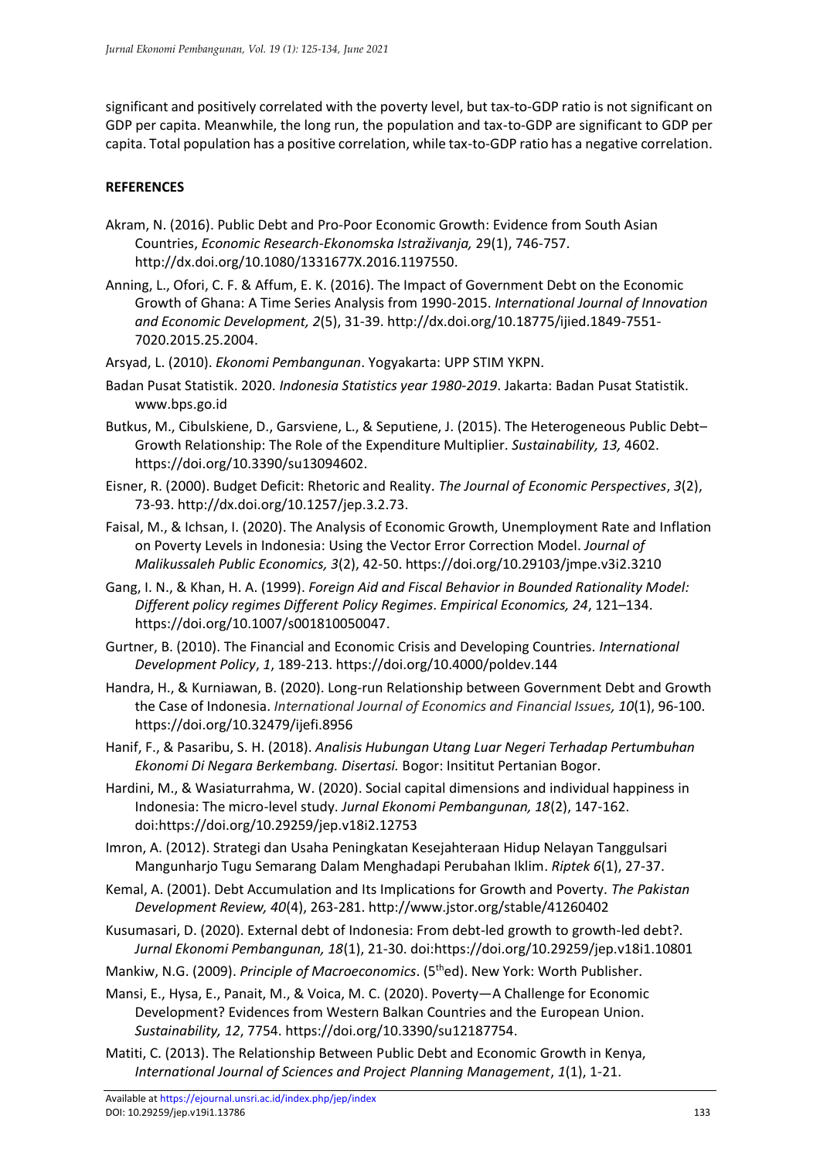significant and positively correlated with the poverty level, but tax-to-GDP ratio is not significant on GDP per capita. Meanwhile, the long run, the population and tax-to-GDP are significant to GDP per capita. Total population has a positive correlation, while tax-to-GDP ratio has a negative correlation.

## **REFERENCES**

- Akram, N. (2016). Public Debt and Pro-Poor Economic Growth: Evidence from South Asian Countries, *Economic Research-Ekonomska Istraživanja,* 29(1), 746-757. http://dx.doi.org/10.1080/1331677X.2016.1197550.
- Anning, L., Ofori, C. F. & Affum, E. K. (2016). The Impact of Government Debt on the Economic Growth of Ghana: A Time Series Analysis from 1990-2015. *International Journal of Innovation and Economic Development, 2*(5), 31-39. http://dx.doi.org/10.18775/ijied.1849-7551- 7020.2015.25.2004.
- Arsyad, L. (2010). *Ekonomi Pembangunan*. Yogyakarta: UPP STIM YKPN.
- Badan Pusat Statistik. 2020. *Indonesia Statistics year 1980-2019*. Jakarta: Badan Pusat Statistik. [www.bps.go.id](http://www.bps.go.id/)
- Butkus, M., Cibulskiene, D., Garsviene, L., & Seputiene, J. (2015). The Heterogeneous Public Debt– Growth Relationship: The Role of the Expenditure Multiplier. *Sustainability, 13,* 4602. https://doi.org/10.3390/su13094602.
- Eisner, R. (2000). Budget Deficit: Rhetoric and Reality. *The Journal of Economic Perspectives*, *3*(2), 73-93. http://dx.doi.org/10.1257/jep.3.2.73.
- Faisal, M., & Ichsan, I. (2020). The Analysis of Economic Growth, Unemployment Rate and Inflation on Poverty Levels in Indonesia: Using the Vector Error Correction Model. *Journal of Malikussaleh Public Economics, 3*(2), 42-50. https://doi.org/10.29103/jmpe.v3i2.3210
- Gang, I. N., & Khan, H. A. (1999). *Foreign Aid and Fiscal Behavior in Bounded Rationality Model: Different policy regimes Different Policy Regimes*. *Empirical Economics, 24*, 121–134. https://doi.org/10.1007/s001810050047.
- Gurtner, B. (2010). The Financial and Economic Crisis and Developing Countries. *International Development Policy*, *1*, 189-213. https://doi.org/10.4000/poldev.144
- Handra, H., & Kurniawan, B. (2020). Long-run Relationship between Government Debt and Growth the Case of Indonesia. *International Journal of Economics and Financial Issues, 10*(1), 96-100. https://doi.org/10.32479/ijefi.8956
- Hanif, F., & Pasaribu, S. H. (2018). *Analisis Hubungan Utang Luar Negeri Terhadap Pertumbuhan Ekonomi Di Negara Berkembang. Disertasi.* Bogor: Insititut Pertanian Bogor.
- Hardini, M., & Wasiaturrahma, W. (2020). Social capital dimensions and individual happiness in Indonesia: The micro-level study. *Jurnal Ekonomi Pembangunan, 18*(2), 147-162. doi:https://doi.org/10.29259/jep.v18i2.12753
- Imron, A. (2012). Strategi dan Usaha Peningkatan Kesejahteraan Hidup Nelayan Tanggulsari Mangunharjo Tugu Semarang Dalam Menghadapi Perubahan Iklim. *Riptek 6*(1), 27-37.
- Kemal, A. (2001). Debt Accumulation and Its Implications for Growth and Poverty. *The Pakistan Development Review, 40*(4), 263-281. http://www.jstor.org/stable/41260402
- Kusumasari, D. (2020). External debt of Indonesia: From debt-led growth to growth-led debt?. *Jurnal Ekonomi Pembangunan, 18*(1), 21-30. doi:https://doi.org/10.29259/jep.v18i1.10801
- Mankiw, N.G. (2009). *Principle of Macroeconomics*. (5thed). New York: Worth Publisher.
- Mansi, E., Hysa, E., Panait, M., & Voica, M. C. (2020). Poverty—A Challenge for Economic Development? Evidences from Western Balkan Countries and the European Union. *Sustainability, 12*, 7754. https://doi.org/10.3390/su12187754.
- Matiti, C. (2013). The Relationship Between Public Debt and Economic Growth in Kenya, *International Journal of Sciences and Project Planning Management*, *1*(1), 1-21.